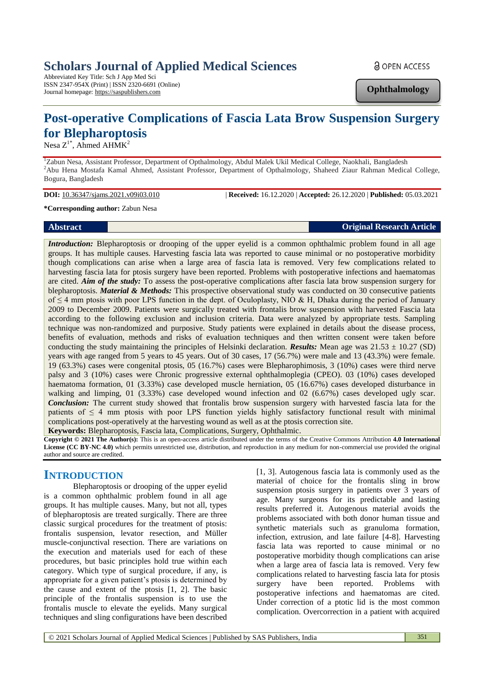# **Scholars Journal of Applied Medical Sciences**

Abbreviated Key Title: Sch J App Med Sci ISSN 2347-954X (Print) | ISSN 2320-6691 (Online) Journal homepage: https://saspublishers.com

**a** OPEN ACCESS

**Ophthalmology**

# **Post-operative Complications of Fascia Lata Brow Suspension Surgery for Blepharoptosis**

Nesa  $Z^{1*}$ , Ahmed AH $\overline{M}K^2$ 

<sup>1</sup>Zabun Nesa, Assistant Professor, Department of Opthalmology, Abdul Malek Ukil Medical College, Naokhali, Bangladesh <sup>2</sup>Abu Hena Mostafa Kamal Ahmed, Assistant Professor, Department of Opthalmology, Shaheed Ziaur Rahman Medical College, Bogura, Bangladesh

**DOI:** 10.36347/sjams.2021.v09i03.010 | **Received:** 16.12.2020 | **Accepted:** 26.12.2020 | **Published:** 05.03.2021

#### **\*Corresponding author:** Zabun Nesa

**Abstract Original Research Article** 

*Introduction:* Blepharoptosis or drooping of the upper eyelid is a common ophthalmic problem found in all age groups. It has multiple causes. Harvesting fascia lata was reported to cause minimal or no postoperative morbidity though complications can arise when a large area of fascia lata is removed. Very few complications related to harvesting fascia lata for ptosis surgery have been reported. Problems with postoperative infections and haematomas are cited. *Aim of the study:* To assess the post-operative complications after fascia lata brow suspension surgery for blepharoptosis. *Material & Methods:* This prospective observational study was conducted on 30 consecutive patients of  $\leq$  4 mm ptosis with poor LPS function in the dept. of Oculoplasty, NIO & H, Dhaka during the period of January 2009 to December 2009. Patients were surgically treated with frontalis brow suspension with harvested Fascia lata according to the following exclusion and inclusion criteria. Data were analyzed by appropriate tests. Sampling technique was non-randomized and purposive. Study patients were explained in details about the disease process, benefits of evaluation, methods and risks of evaluation techniques and then written consent were taken before conducting the study maintaining the principles of Helsinki declaration. *Results:* Mean age was 21.53 ± 10.27 (SD) years with age ranged from 5 years to 45 years. Out of 30 cases, 17 (56.7%) were male and 13 (43.3%) were female. 19 (63.3%) cases were congenital ptosis, 05 (16.7%) cases were Blepharophimosis, 3 (10%) cases were third nerve palsy and 3 (10%) cases were Chronic progressive external ophthalmoplegia (CPEO). 03 (10%) cases developed haematoma formation, 01 (3.33%) case developed muscle herniation, 05 (16.67%) cases developed disturbance in walking and limping, 01 (3.33%) case developed wound infection and 02 (6.67%) cases developed ugly scar. *Conclusion:* The current study showed that frontalis brow suspension surgery with harvested fascia lata for the patients of  $\leq 4$  mm ptosis with poor LPS function yields highly satisfactory functional result with minimal complications post-operatively at the harvesting wound as well as at the ptosis correction site.

**Keywords:** Blepharoptosis, Fascia lata, Complications, Surgery, Ophthalmic.

**Copyright © 2021 The Author(s):** This is an open-access article distributed under the terms of the Creative Commons Attribution **4.0 International License (CC BY-NC 4.0)** which permits unrestricted use, distribution, and reproduction in any medium for non-commercial use provided the original author and source are credited.

# **INTRODUCTION**

Blepharoptosis or drooping of the upper eyelid is a common ophthalmic problem found in all age groups. It has multiple causes. Many, but not all, types of blepharoptosis are treated surgically. There are three classic surgical procedures for the treatment of ptosis: frontalis suspension, levator resection, and Müller muscle-conjunctival resection. There are variations on the execution and materials used for each of these procedures, but basic principles hold true within each category. Which type of surgical procedure, if any, is appropriate for a given patient's ptosis is determined by the cause and extent of the ptosis [1, 2]. The basic principle of the frontalis suspension is to use the frontalis muscle to elevate the eyelids. Many surgical techniques and sling configurations have been described

[1, 3]. Autogenous fascia lata is commonly used as the material of choice for the frontalis sling in brow suspension ptosis surgery in patients over 3 years of age. Many surgeons for its predictable and lasting results preferred it. Autogenous material avoids the problems associated with both donor human tissue and synthetic materials such as granuloma formation, infection, extrusion, and late failure [4-8]. Harvesting fascia lata was reported to cause minimal or no postoperative morbidity though complications can arise when a large area of fascia lata is removed. Very few complications related to harvesting fascia lata for ptosis surgery have been reported. Problems with postoperative infections and haematomas are cited. Under correction of a ptotic lid is the most common complication. Overcorrection in a patient with acquired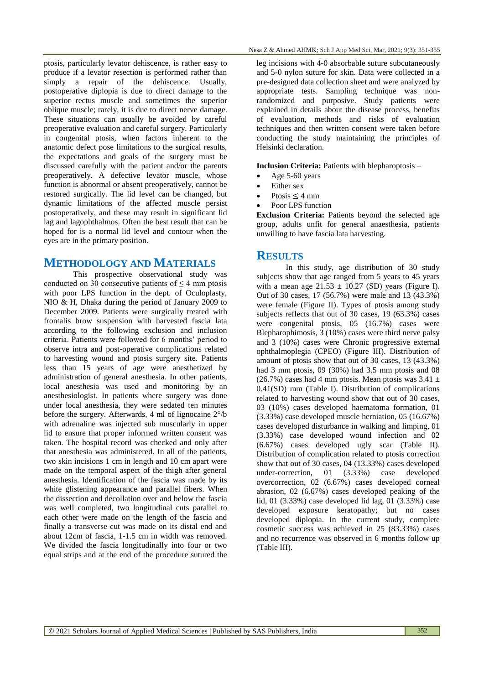ptosis, particularly levator dehiscence, is rather easy to produce if a levator resection is performed rather than simply a repair of the dehiscence. Usually, postoperative diplopia is due to direct damage to the superior rectus muscle and sometimes the superior oblique muscle; rarely, it is due to direct nerve damage. These situations can usually be avoided by careful preoperative evaluation and careful surgery. Particularly in congenital ptosis, when factors inherent to the anatomic defect pose limitations to the surgical results, the expectations and goals of the surgery must be discussed carefully with the patient and/or the parents preoperatively. A defective levator muscle, whose function is abnormal or absent preoperatively, cannot be restored surgically. The lid level can be changed, but dynamic limitations of the affected muscle persist postoperatively, and these may result in significant lid lag and lagophthalmos. Often the best result that can be hoped for is a normal lid level and contour when the eyes are in the primary position.

# **METHODOLOGY AND MATERIALS**

This prospective observational study was conducted on 30 consecutive patients of  $\leq$  4 mm ptosis with poor LPS function in the dept. of Oculoplasty, NIO & H, Dhaka during the period of January 2009 to December 2009. Patients were surgically treated with frontalis brow suspension with harvested fascia lata according to the following exclusion and inclusion criteria. Patients were followed for 6 months' period to observe intra and post-operative complications related to harvesting wound and ptosis surgery site. Patients less than 15 years of age were anesthetized by administration of general anesthesia. In other patients, local anesthesia was used and monitoring by an anesthesiologist. In patients where surgery was done under local anesthesia, they were sedated ten minutes before the surgery. Afterwards, 4 ml of lignocaine 2°/b with adrenaline was injected sub muscularly in upper lid to ensure that proper informed written consent was taken. The hospital record was checked and only after that anesthesia was administered. In all of the patients, two skin incisions 1 cm in length and 10 cm apart were made on the temporal aspect of the thigh after general anesthesia. Identification of the fascia was made by its white glistening appearance and parallel fibers. When the dissection and decollation over and below the fascia was well completed, two longitudinal cuts parallel to each other were made on the length of the fascia and finally a transverse cut was made on its distal end and about 12cm of fascia, 1-1.5 cm in width was removed. We divided the fascia longitudinally into four or two equal strips and at the end of the procedure sutured the

leg incisions with 4-0 absorbable suture subcutaneously and 5-0 nylon suture for skin. Data were collected in a pre-designed data collection sheet and were analyzed by appropriate tests. Sampling technique was nonrandomized and purposive. Study patients were explained in details about the disease process, benefits of evaluation, methods and risks of evaluation techniques and then written consent were taken before conducting the study maintaining the principles of Helsinki declaration.

**Inclusion Criteria:** Patients with blepharoptosis –

- Age 5-60 years
- Either sex
- Ptosis  $\leq$  4 mm
- Poor LPS function

**Exclusion Criteria:** Patients beyond the selected age group, adults unfit for general anaesthesia, patients unwilling to have fascia lata harvesting.

### **RESULTS**

In this study, age distribution of 30 study subjects show that age ranged from 5 years to 45 years with a mean age  $21.53 \pm 10.27$  (SD) years (Figure I). Out of 30 cases, 17 (56.7%) were male and 13 (43.3%) were female (Figure II). Types of ptosis among study subjects reflects that out of 30 cases, 19 (63.3%) cases were congenital ptosis, 05 (16.7%) cases were Blepharophimosis, 3 (10%) cases were third nerve palsy and 3 (10%) cases were Chronic progressive external ophthalmoplegia (CPEO) (Figure III). Distribution of amount of ptosis show that out of 30 cases, 13 (43.3%) had 3 mm ptosis, 09 (30%) had 3.5 mm ptosis and 08 (26.7%) cases had 4 mm ptosis. Mean ptosis was  $3.41 \pm$ 0.41(SD) mm (Table I). Distribution of complications related to harvesting wound show that out of 30 cases, 03 (10%) cases developed haematoma formation, 01 (3.33%) case developed muscle herniation, 05 (16.67%) cases developed disturbance in walking and limping, 01 (3.33%) case developed wound infection and 02 (6.67%) cases developed ugly scar (Table II). Distribution of complication related to ptosis correction show that out of 30 cases, 04 (13.33%) cases developed under-correction, 01 (3.33%) case developed overcorrection, 02 (6.67%) cases developed corneal abrasion, 02 (6.67%) cases developed peaking of the lid, 01 (3.33%) case developed lid lag, 01 (3.33%) case developed exposure keratopathy; but no cases developed diplopia. In the current study, complete cosmetic success was achieved in 25 (83.33%) cases and no recurrence was observed in 6 months follow up (Table III).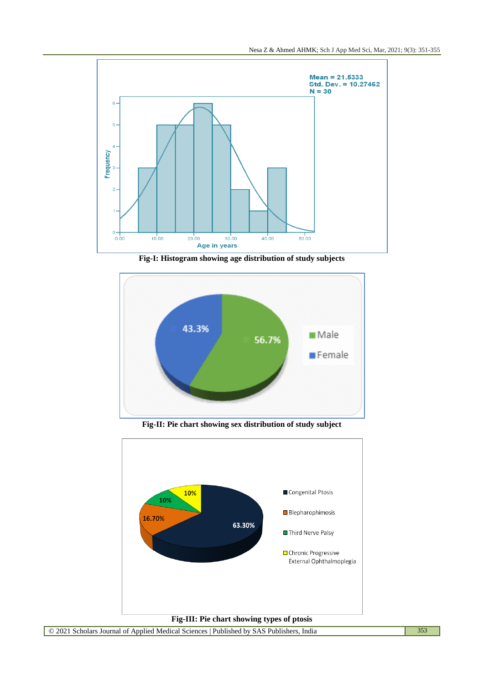

**Fig-I: Histogram showing age distribution of study subjects**



**Fig-II: Pie chart showing sex distribution of study subject**

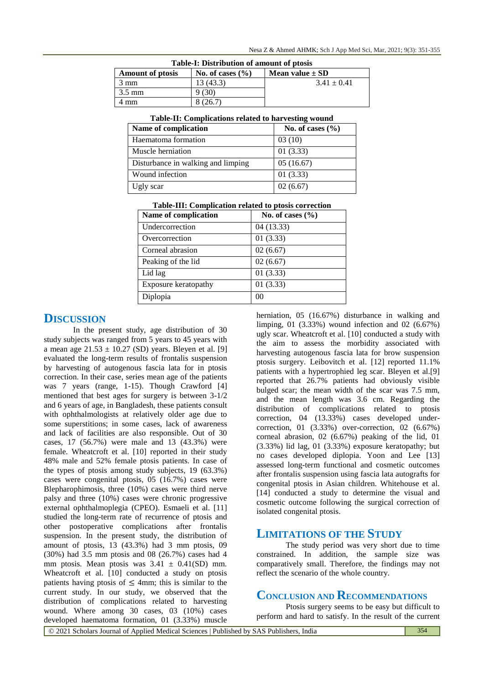| <b>Table-1: Distribution of amount of prosis</b> |                      |                     |  |  |
|--------------------------------------------------|----------------------|---------------------|--|--|
| <b>Amount of prosis</b>                          | No. of cases $(\% )$ | Mean value $\pm$ SD |  |  |
| 3 mm                                             | 13 (43.3)            | $3.41 \pm 0.41$     |  |  |
| $3.5 \text{ mm}$                                 | 9 (30)               |                     |  |  |
| 4 mm                                             | 8 (26.7)             |                     |  |  |

#### **Table-I: Distribution of amount of ptosis**

|  | Table-II: Complications related to harvesting wound |  |
|--|-----------------------------------------------------|--|
|  |                                                     |  |

| Name of complication               | No. of cases $(\% )$ |  |  |
|------------------------------------|----------------------|--|--|
| Haematoma formation                | 03(10)               |  |  |
| Muscle herniation                  | 01(3.33)             |  |  |
| Disturbance in walking and limping | 05(16.67)            |  |  |
| Wound infection                    | 01(3.33)             |  |  |
| Ugly scar                          | 02(6.67)             |  |  |

| Name of complication | No. of cases $(\%$ |  |  |
|----------------------|--------------------|--|--|
| Undercorrection      | 04(13.33)          |  |  |
| Overcorrection       | 01(3.33)           |  |  |
| Corneal abrasion     | 02(6.67)           |  |  |
| Peaking of the lid   | 02(6.67)           |  |  |
| Lid lag              | 01(3.33)           |  |  |
| Exposure keratopathy | 01(3.33)           |  |  |
| Diplopia             | 0 <sup>0</sup>     |  |  |

| Table-III: Complication related to ptosis correction |  |  |  |  |  |
|------------------------------------------------------|--|--|--|--|--|
|------------------------------------------------------|--|--|--|--|--|

## **DISCUSSION**

In the present study, age distribution of 30 study subjects was ranged from 5 years to 45 years with a mean age  $21.53 \pm 10.27$  (SD) years. Bleyen et al. [9] evaluated the long-term results of frontalis suspension by harvesting of autogenous fascia lata for in ptosis correction. In their case, series mean age of the patients was 7 years (range, 1-15). Though Crawford [4] mentioned that best ages for surgery is between 3-1/2 and 6 years of age, in Bangladesh, these patients consult with ophthalmologists at relatively older age due to some superstitions; in some cases, lack of awareness and lack of facilities are also responsible. Out of 30 cases, 17 (56.7%) were male and 13 (43.3%) were female. Wheatcroft et al. [10] reported in their study 48% male and 52% female ptosis patients. In case of the types of ptosis among study subjects, 19 (63.3%) cases were congenital ptosis, 05 (16.7%) cases were Blepharophimosis, three (10%) cases were third nerve palsy and three (10%) cases were chronic progressive external ophthalmoplegia (CPEO). Esmaeli et al. [11] studied the long-term rate of recurrence of ptosis and other postoperative complications after frontalis suspension. In the present study, the distribution of amount of ptosis, 13 (43.3%) had 3 mm ptosis, 09 (30%) had 3.5 mm ptosis and 08 (26.7%) cases had 4 mm ptosis. Mean ptosis was  $3.41 \pm 0.41$ (SD) mm. Wheatcroft et al. [10] conducted a study on ptosis patients having ptosis of  $\leq$  4mm; this is similar to the current study. In our study, we observed that the distribution of complications related to harvesting wound. Where among 30 cases, 03 (10%) cases developed haematoma formation, 01 (3.33%) muscle

herniation, 05 (16.67%) disturbance in walking and limping, 01 (3.33%) wound infection and 02 (6.67%) ugly scar. Wheatcroft et al. [10] conducted a study with the aim to assess the morbidity associated with harvesting autogenous fascia lata for brow suspension ptosis surgery. Leibovitch et al. [12] reported 11.1% patients with a hypertrophied leg scar. Bleyen et al.[9] reported that 26.7% patients had obviously visible bulged scar; the mean width of the scar was 7.5 mm, and the mean length was 3.6 cm. Regarding the distribution of complications related to ptosis correction, 04 (13.33%) cases developed undercorrection, 01 (3.33%) over-correction, 02 (6.67%) corneal abrasion, 02 (6.67%) peaking of the lid, 01 (3.33%) lid lag, 01 (3.33%) exposure keratopathy; but no cases developed diplopia. Yoon and Lee [13] assessed long-term functional and cosmetic outcomes after frontalis suspension using fascia lata autografts for congenital ptosis in Asian children. Whitehouse et al. [14] conducted a study to determine the visual and cosmetic outcome following the surgical correction of isolated congenital ptosis.

## **LIMITATIONS OF THE STUDY**

The study period was very short due to time constrained. In addition, the sample size was comparatively small. Therefore, the findings may not reflect the scenario of the whole country.

# **CONCLUSION AND RECOMMENDATIONS**

Ptosis surgery seems to be easy but difficult to perform and hard to satisfy. In the result of the current

© 2021 Scholars Journal of Applied Medical Sciences | Published by SAS Publishers, India 354